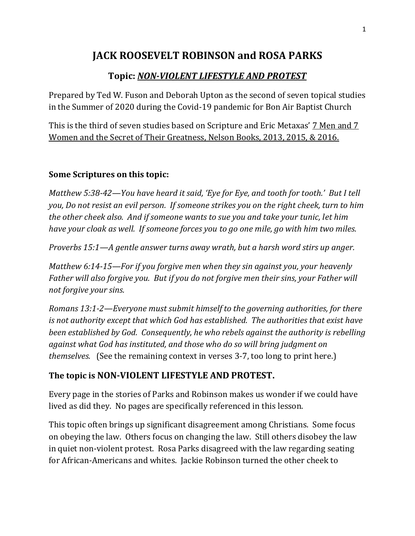# **JACK ROOSEVELT ROBINSON and ROSA PARKS**

## **Topic:** *NON-VIOLENT LIFESTYLE AND PROTEST*

Prepared by Ted W. Fuson and Deborah Upton as the second of seven topical studies in the Summer of 2020 during the Covid-19 pandemic for Bon Air Baptist Church

This is the third of seven studies based on Scripture and Eric Metaxas' 7 Men and 7 Women and the Secret of Their Greatness, Nelson Books, 2013, 2015, & 2016.

### **Some Scriptures on this topic:**

*Matthew 5:38-42—You have heard it said, 'Eye for Eye, and tooth for tooth.' But I tell you, Do not resist an evil person. If someone strikes you on the right cheek, turn to him the other cheek also. And if someone wants to sue you and take your tunic, let him have your cloak as well. If someone forces you to go one mile, go with him two miles.*

*Proverbs 15:1—A gentle answer turns away wrath, but a harsh word stirs up anger.*

*Matthew 6:14-15—For if you forgive men when they sin against you, your heavenly Father will also forgive you. But if you do not forgive men their sins, your Father will not forgive your sins.*

*Romans 13:1-2—Everyone must submit himself to the governing authorities, for there is not authority except that which God has established. The authorities that exist have been established by God. Consequently, he who rebels against the authority is rebelling against what God has instituted, and those who do so will bring judgment on themselves.* (See the remaining context in verses 3-7, too long to print here.)

## **The topic is NON-VIOLENT LIFESTYLE AND PROTEST.**

Every page in the stories of Parks and Robinson makes us wonder if we could have lived as did they. No pages are specifically referenced in this lesson.

This topic often brings up significant disagreement among Christians. Some focus on obeying the law. Others focus on changing the law. Still others disobey the law in quiet non-violent protest. Rosa Parks disagreed with the law regarding seating for African-Americans and whites. Jackie Robinson turned the other cheek to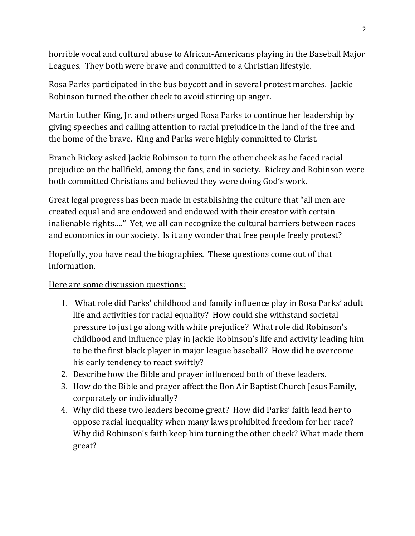horrible vocal and cultural abuse to African-Americans playing in the Baseball Major Leagues. They both were brave and committed to a Christian lifestyle.

Rosa Parks participated in the bus boycott and in several protest marches. Jackie Robinson turned the other cheek to avoid stirring up anger.

Martin Luther King, Jr. and others urged Rosa Parks to continue her leadership by giving speeches and calling attention to racial prejudice in the land of the free and the home of the brave. King and Parks were highly committed to Christ.

Branch Rickey asked Jackie Robinson to turn the other cheek as he faced racial prejudice on the ballfield, among the fans, and in society. Rickey and Robinson were both committed Christians and believed they were doing God's work.

Great legal progress has been made in establishing the culture that "all men are created equal and are endowed and endowed with their creator with certain inalienable rights…." Yet, we all can recognize the cultural barriers between races and economics in our society. Is it any wonder that free people freely protest?

Hopefully, you have read the biographies. These questions come out of that information.

#### Here are some discussion questions:

- 1. What role did Parks' childhood and family influence play in Rosa Parks' adult life and activities for racial equality? How could she withstand societal pressure to just go along with white prejudice? What role did Robinson's childhood and influence play in Jackie Robinson's life and activity leading him to be the first black player in major league baseball? How did he overcome his early tendency to react swiftly?
- 2. Describe how the Bible and prayer influenced both of these leaders.
- 3. How do the Bible and prayer affect the Bon Air Baptist Church Jesus Family, corporately or individually?
- 4. Why did these two leaders become great? How did Parks' faith lead her to oppose racial inequality when many laws prohibited freedom for her race? Why did Robinson's faith keep him turning the other cheek? What made them great?